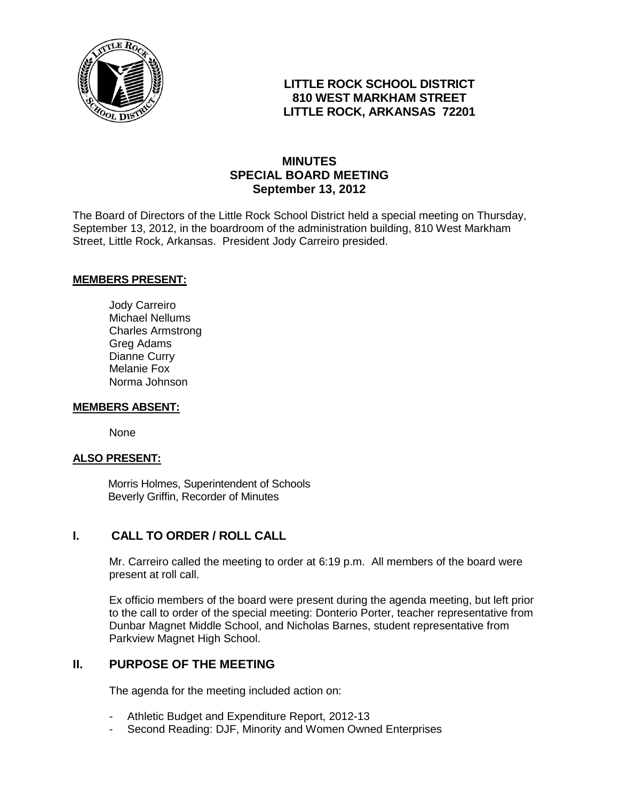

## **LITTLE ROCK SCHOOL DISTRICT 810 WEST MARKHAM STREET LITTLE ROCK, ARKANSAS 72201**

# **MINUTES SPECIAL BOARD MEETING September 13, 2012**

The Board of Directors of the Little Rock School District held a special meeting on Thursday, September 13, 2012, in the boardroom of the administration building, 810 West Markham Street, Little Rock, Arkansas. President Jody Carreiro presided.

#### **MEMBERS PRESENT:**

Jody Carreiro Michael Nellums Charles Armstrong Greg Adams Dianne Curry Melanie Fox Norma Johnson

#### **MEMBERS ABSENT:**

None

### **ALSO PRESENT:**

 Morris Holmes, Superintendent of Schools Beverly Griffin, Recorder of Minutes

### **I. CALL TO ORDER / ROLL CALL**

Mr. Carreiro called the meeting to order at 6:19 p.m. All members of the board were present at roll call.

Ex officio members of the board were present during the agenda meeting, but left prior to the call to order of the special meeting: Donterio Porter, teacher representative from Dunbar Magnet Middle School, and Nicholas Barnes, student representative from Parkview Magnet High School.

### **II. PURPOSE OF THE MEETING**

The agenda for the meeting included action on:

- Athletic Budget and Expenditure Report, 2012-13
- Second Reading: DJF, Minority and Women Owned Enterprises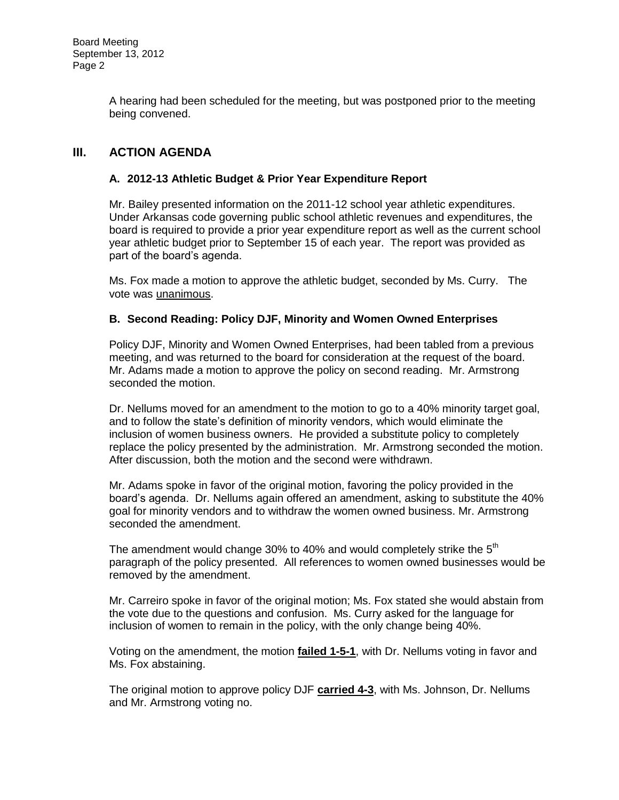A hearing had been scheduled for the meeting, but was postponed prior to the meeting being convened.

# **III. ACTION AGENDA**

### **A. 2012-13 Athletic Budget & Prior Year Expenditure Report**

Mr. Bailey presented information on the 2011-12 school year athletic expenditures. Under Arkansas code governing public school athletic revenues and expenditures, the board is required to provide a prior year expenditure report as well as the current school year athletic budget prior to September 15 of each year. The report was provided as part of the board's agenda.

Ms. Fox made a motion to approve the athletic budget, seconded by Ms. Curry. The vote was unanimous.

### **B. Second Reading: Policy DJF, Minority and Women Owned Enterprises**

Policy DJF, Minority and Women Owned Enterprises, had been tabled from a previous meeting, and was returned to the board for consideration at the request of the board. Mr. Adams made a motion to approve the policy on second reading. Mr. Armstrong seconded the motion.

Dr. Nellums moved for an amendment to the motion to go to a 40% minority target goal, and to follow the state's definition of minority vendors, which would eliminate the inclusion of women business owners. He provided a substitute policy to completely replace the policy presented by the administration. Mr. Armstrong seconded the motion. After discussion, both the motion and the second were withdrawn.

Mr. Adams spoke in favor of the original motion, favoring the policy provided in the board's agenda. Dr. Nellums again offered an amendment, asking to substitute the 40% goal for minority vendors and to withdraw the women owned business. Mr. Armstrong seconded the amendment.

The amendment would change 30% to 40% and would completely strike the  $5<sup>th</sup>$ paragraph of the policy presented. All references to women owned businesses would be removed by the amendment.

Mr. Carreiro spoke in favor of the original motion; Ms. Fox stated she would abstain from the vote due to the questions and confusion. Ms. Curry asked for the language for inclusion of women to remain in the policy, with the only change being 40%.

Voting on the amendment, the motion **failed 1-5-1**, with Dr. Nellums voting in favor and Ms. Fox abstaining.

The original motion to approve policy DJF **carried 4-3**, with Ms. Johnson, Dr. Nellums and Mr. Armstrong voting no.